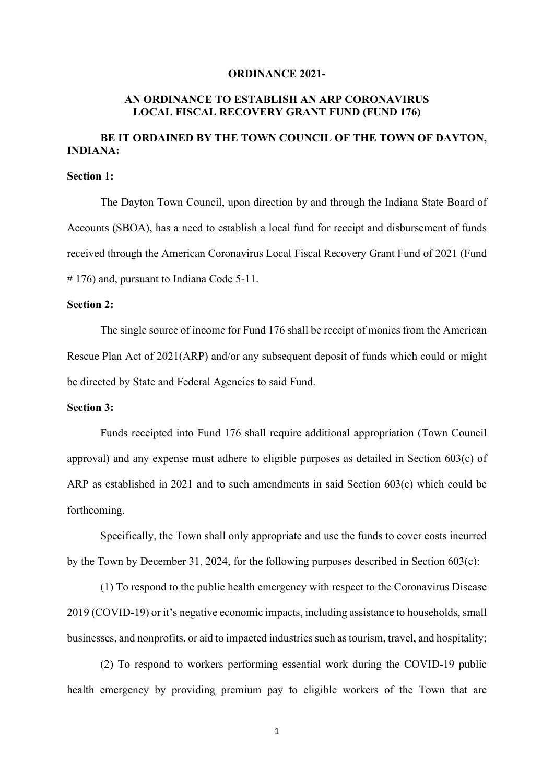#### **ORDINANCE 2021-**

## **AN ORDINANCE TO ESTABLISH AN ARP CORONAVIRUS LOCAL FISCAL RECOVERY GRANT FUND (FUND 176)**

# **BE IT ORDAINED BY THE TOWN COUNCIL OF THE TOWN OF DAYTON, INDIANA:**

#### **Section 1:**

The Dayton Town Council, upon direction by and through the Indiana State Board of Accounts (SBOA), has a need to establish a local fund for receipt and disbursement of funds received through the American Coronavirus Local Fiscal Recovery Grant Fund of 2021 (Fund # 176) and, pursuant to Indiana Code 5-11.

### **Section 2:**

The single source of income for Fund 176 shall be receipt of monies from the American Rescue Plan Act of 2021(ARP) and/or any subsequent deposit of funds which could or might be directed by State and Federal Agencies to said Fund.

### **Section 3:**

Funds receipted into Fund 176 shall require additional appropriation (Town Council approval) and any expense must adhere to eligible purposes as detailed in Section 603(c) of ARP as established in 2021 and to such amendments in said Section 603(c) which could be forthcoming.

Specifically, the Town shall only appropriate and use the funds to cover costs incurred by the Town by December 31, 2024, for the following purposes described in Section 603(c):

(1) To respond to the public health emergency with respect to the Coronavirus Disease 2019 (COVID-19) or it's negative economic impacts, including assistance to households, small businesses, and nonprofits, or aid to impacted industries such as tourism, travel, and hospitality;

(2) To respond to workers performing essential work during the COVID-19 public health emergency by providing premium pay to eligible workers of the Town that are